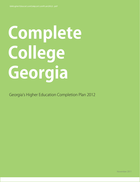# **Complete College Georgia**

Georgia's Higher Education Completion Plan 2012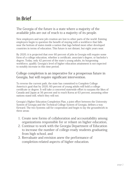# In Brief

The Georgia of the future is a state where a majority of the available jobs are out of reach to a majority of its people.

New employers and new job creation are lost to other parts of the world. Existing employers begin to question the benefit of staying with a workforce that falls near the bottom of states inside a nation that lags behind most other developed countries in terms of education. This future is not distant, but eight years near.

By 2020, it is projected that over 60 percent of jobs in Georgia will require some form of a college education, whether a certificate, associate's degree, or bachelor's degree. Today, only 42 percent of the state's young adults, its burgeoning workforce, qualify. Georgia's level of higher education attainment is not expected to notably increase in this time period.

#### College completion is an imperative for a prosperous future in Georgia, but will require significant intervention.

To reverse the current path, the state has committed to Complete College America's goal that by 2020, 60 percent of young adults will hold a college certificate or degree. It will take a concerted statewide effort to surpass the likes of Canada and Japan at 56 percent and to reach Korea at 63 percent, assuming other nations stand still, which they will not.

Georgia's Higher Education Completion Plan, a joint effort between the University System of Georgia and the Technical College System of Georgia, defines a way forward. The two Systems call for cooperation and begin to lay the groundwork in three areas:

- 1. Create new forms of collaboration and accountability among organizations responsible for or reliant on higher education,
- 2. Continue to work with the Georgia Department of Education to increase the number of college-ready students graduating from high school, and
- 3. Reevaluate and envision anew the performance of completion-related aspects of higher education.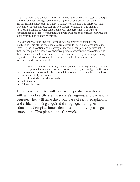This joint report and the work to follow between the University System of Georgia and the Technical College System of Georgia serve as a strong foundation for the partnerships necessary to improve college completion. The unprecedented articulation agreement between the two Systems outlined in this plan is a significant example of what can be achieved. The agreement will expand opportunities to degree completion and avoid duplication of mission, assuring the most efficient use of state resources.

The University System and the Technical College System encompass 60 institutions. This plan is designed as a framework for action and accountability. Fostering the innovation and creativity of individual campuses is paramount. To that end, the plan outlines a collaborative process between the two Systems and their respective institutions to set goals, metrics, and strategies, while providing support. This planned work will seek new graduates from many sources, traditional and non-traditional:

- Expansion of the direct from high-school population through an improvement in college readiness and an overall increase in the high school graduation rate
- Improvement in overall college completion rates and especially populations with historically low rates
- Part-time students at all age levels
- Adult learners
- Military learners

These new graduates will form a competitive workforce with a mix of certificates, associate's degrees, and bachelor's degrees. They will have the broad base of skills, adaptability, and critical-thinking acquired through quality higher education. Georgia's future depends on improving college completion. **This plan begins the work.**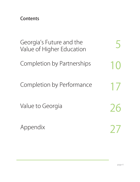Contents

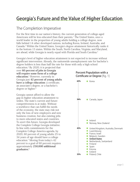# Georgia's Future and the Value of Higher Education

## The Completion Imperative

For the first time in our nation's history, the current generation of college-aged Americans will be less educated than their parents.<sup>1</sup> The United States, once a world leader in the proportion of young adults holding a college degree, now falls behind 14 other developed nations, including Korea, Ireland, Australia, and Canada.2 Within the United States, Georgia's degree attainment historically ranks it in the bottom 15 states. Within the South, North Carolina, Virginia, and Maryland, are ahead, while Georgia is nearly equal with Florida and South Carolina.<sup>3</sup>

Georgia's level of higher education attainment is not expected to increase without significant intervention. Already, the nationwide unemployment rate for bachelor's degree holders is less than half the rate for those with only a high school

education.4 By 2020, it is projected that over **60 percent of jobs in Georgia will require some form of a college education.**<sup>5</sup> However, currently in Georgia just **42 percent of young adults have a college education**: a certificate, an associate's degree, or a bachelor's degree or higher.<sup>6</sup>

Georgia cannot afford to allow the gap in higher education attainment to widen. The state's current and future competitiveness is at stake. Without a workforce that can fulfill the needs of the economy, the state may risk not only the loss of new employers and new business creation, but also existing jobs to more educated states and countries. To avert this future, Georgia developed the Complete College Georgia initiative. In line with commitments for the Complete College America agenda, by 2020, 60 percent of young adults 25 to 34 years of age should have a college education.7 Moving from today's 42 percent to a goal of 60 percent requires approximately **250,000 additional graduates.**<sup>8</sup>

#### Percent Population with a Certificate or Degree [fig. 1]

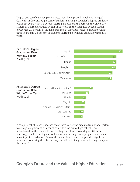Degree and certificate completion rates must be improved to achieve this goal. Currently in Georgia, 57 percent of students starting a bachelor's degree graduate within six years. Only 11 percent starting an associate's degree in the University System of Georgia graduate within three years. In the Technical College System of Georgia, 20 percent of students starting an associate's degree graduate within three years, and 23 percent of students starting a certificate graduate within two years.



A complex set of issues underlies these rates. Along the pipeline from kindergarten to college, a significant number of students drop out of high school. These individuals lose the chance to enter college, let alone earn a degree. Of those who do graduate from high school, many enter college underprepared and never make it past remediation. Even of the students who enter prepared, a significant number leave during their freshman year, with a trailing number leaving each year thereafter.9

Georgia's Future and the Value of Higher Education **page 6**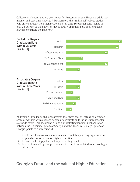College completion rates are even lower for African American, Hispanic, adult, lowincome, and part-time students.10 Furthermore, the "traditional" college student who enters directly from high school on a full-time, residential basis makes up only 25 percent of the nation's student body. Commuter, part-time, and adult learners constitute the majority.<sup>11</sup>



Addressing these many challenges within the larger goal of increasing Georgia's share of workers with a college degree or certificate calls for an unprecedented statewide effort. This document, a joint plan reflecting landmark collaboration between the University System of Georgia and the Technical College System of Georgia, points to a way forward:

- 1. Create new forms of collaboration and accountability among organizations responsible for or reliant on higher education
- 2. Expand the K-12 pipeline and improve college readiness
- 3. Re-envision and improve performance in completion-related aspects of higher education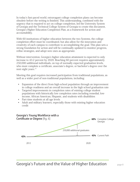In today's fast-paced world, extravagant college completion plans can become obsolete before the writing is finished. This understanding, combined with the urgency that is required to act on college completion, led the University System of Georgia and the Technical College System of Georgia to create this document, Georgia's Higher Education Completion Plan, as a framework for action and accountability.

With 60 institutions of higher education between the two Systems, the college completion effort must be coordinated, but also allow for the innovation and creativity of each campus to contribute to accomplishing the goal. This plan sets a strong foundation for action and will be continually updated to monitor progress, refine strategies, and adopt new ones as appropriate.

Without intervention, Georgia's higher education attainment is expected to only increase to 43.2 percent by 2020. Reaching 60 percent requires approximately 250,000 additional individuals, on top of normally expected graduation levels, who must complete a certificate, associate's degree, or bachelor's degree over the next eight years. $12$ 

Meeting this goal requires increased participation from traditional populations, as well as a wider pool of non-traditional populations, including:

- Expansion of the direct from high-school population through an improvement in college readiness and an overall increase in the high school graduation rate
- Targeted improvements in completion rates of existing college student populations with historically low completion rates including remedial, lowincome, African American, Hispanic, and students with disabilities
- Part-time students at all age levels
- Adult and military learners, especially those with existing higher education credit



## Georgia's Future and the Value of Higher Education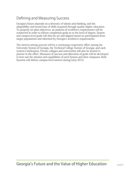## Defining and Measuring Success

Georgia's future depends on a diversity of talents and thinking, and the adaptability and broad base of skills acquired through quality higher education. To properly set plan objectives, an analysis of workforce requirements will be conducted in order to inform completion goals as to the level of degree. System and campus-level goals will then be set and aligned based on participation from target populations and informed by Georgia's workforce requirements.

The metrics setting process will be a continuing cooperative effort among the University System of Georgia, the Technical College System of Georgia, and each system's institutions. Private colleges and universities will also be invited to partner in the effort. Measures of success and allocation of goals will be developed to best suit the mission and capabilities of each System and their campuses. Both Systems will deliver campus-level metrics during early 2012.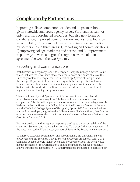# Completion by Partnerships

Improving college completion will depend on partnerships, given statewide and cross-agency issues. Partnerships can not only result in coordinated resources, but also new forms of collaboration, improved communication, and a strong focus on accountability. This plan includes work to improve completion by partnerships in three areas: 1) reporting and communications, 2) improving college readiness and access, and 3) improvement in pathways toward a degree through a new articulation agreement between the two Systems.

## Reporting and Communications

Both Systems will regularly report to Georgia's Complete College America Council, which includes the Governor's office, the agency heads and board chairs of the University System of Georgia, the Technical College System of Georgia, and the Georgia Department of Education, along with the Georgia Student Finance Commission, and key business, community, and philanthropic leaders. Both Systems will also work with the Governor on needed steps that result from his higher education funding study commission.

The commitment by both Systems that this document be a living plan with accessible updates is one way in which there will be a continuous focus on completion. This plan will be placed on a to-be-created 'Complete College Georgia Website' under the Governor's Office, linked to the University System of Georgia and the Technical College System of Georgia by Spring 2012. A communications plan will be developed, aligned to the College Access Challenge Grant, that focuses on extending awareness about the importance of postsecondary completion across Georgia by Summer 2012.

Rigorous analytics and transparent reporting are key to the accountability of the state, both Systems, and individual institutions. To that end, the continued work of the state Longitudinal Data System, as part of Race to the Top, is vitally important.

To improve statewide coordination and accountability, the University System of Georgia and the Technical College System of Georgia propose an early 2012 Complete College Georgia launch event. Led by Governor Deal, the event would include members of the Performance Funding commission, college presidents and vice presidents, legislators, K-12 superintendents, members of boards of both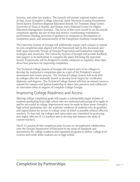Systems, and other key leaders. The Launch will include national leaders such as Stan Jones (Complete College America), Jamie Merisotis (Lumina Foundation), David Spence (Southern Regional Education Board), Uri Treisman (Dana Center, University of Texas at Austin), and Dennis Jones (National Center for Higher Education Management Systems). The focus of this event would be on the overall completion agenda, the use of data and metrics, transforming remediation, performance funding, provision of guidance to campuses in development of completion plans, and announcement of the Completion Academy competition.

The University System of Georgia will additionally require each campus to submit its own completion plan aligned with the framework laid in this document and built upon University System of Georgia Progression and Graduation reporting strategies and structures. The University System of Georgia will provide feedback and support to its institutions to complete the plans following the statewide launch. Frameworks will be designed to enable campuses to regularly share data about best practices for improving completion.

The Technical College System of Georgia will require each of its colleges to develop the institution's completion plan as a part of the President's annual assessment and review process. The Technical College System will work with its colleges after the statewide launch to develop local targets for certificates, diplomas, and degrees. The Technical College System will host an annual resource summit for campus and System leadership to share best practices and collaborate on innovative ideas in support of Complete College Georgia.

## Improving College Readiness and Access

Meeting college completion goals will require a substantially larger number of students graduating from high school who are motivated and prepared to apply to and be successful in college. Improvement must be made in three areas: Georgia's high school graduation rate, the academic readiness of students who do graduate, and opportunities for access to college, none of which is possible without effective teachers. To that end, the colleges and universities are committed to producing new highly effective K-12 teachers and to develop and enhance the skills of current teachers.

The K-12 portion of this completion plan focuses on strengthened collaboration with the Georgia Department of Education in the areas of standards and assessments for college readiness and expanded programs to deliver college-level courses and credit while students are in high school.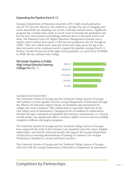#### Expanding the Pipeline from K-12

Georgia's Department of Education reported a 2011 high school graduation rate of 79.5 percent. However, the method to calculate the rate is changing, and states nationwide are adopting a set of new, Federally backed metrics. Significant progress has certainly been made in recent years to increase the graduation rate, but the new cohort-based methodology indicates there is still much work to be done. The National Center for Higher Education Management Systems uses a similar cohort method and reports a 58.8 percent graduation rate for Georgia in 2008.13 This rate is likely lower than the actual rate today, given the lag in the data, but points to the continued need to expand the pipeline coming from K-12. Further, around 30 percent of the high school graduates, as reported by NCHEMS in 2008, did not continue onto college.



#### Standards and Assessment

The University System of Georgia and the Technical College System of Georgia will continue to work together with the Georgia Department of Education through the Alliance for Education Agency Heads on standards and assessments for college and career readiness. This collaboration is especially important in the vital subject area of mathematics. Changing levels of readiness in mathematics, whether through a mismatch of standards and entrance requirements, or a drop in overall quality, can significantly affect a student's ability to access and successfully complete certificate and degree programs.

The University System of Georgia and the Technical College System of Georgia have supported the work of the Common Core standards since the outset. English, mathematics, and teacher education faculty will support the Georgia Department of Education in ensuring dissemination of training in Common Core Georgia Performance Standard to current and future teachers.

The University System of Georgia and the Technical College System of Georgia will work with the Georgia Department of Education to implement an assessment

## **Completion by Partnerships Example 20 April 20 April 20 April 20 April 20 April 20 April 20 April 20 April 20 April 20 April 20 April 20 April 20 April 20 April 20 April 20 April 20 April 20 April 20 April 20 April 20 A**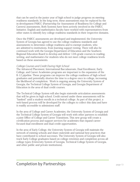that can be used in the junior year of high school to judge progress on meeting readiness standards. In the long term, these assessments may be replaced by the in-development PARCC (Partnership for Assessment of Readiness for College and Careers) assessments. Both Systems have been actively involved in the PARCC Initiative. English and mathematics faculty have worked with representatives from other states to identify key college readiness standards in their respective domains.

Once the PARCC assessments are developed and implemented, the University System of Georgia has agreed to use the college readiness standards and assessments to determine college readiness and to exempt students, who are admitted to institutions, from learning support testing. There will also be continued work with the Georgia Department of Education and the Southern Regional Education Board to develop and deliver 12th grade courses in reading, writing, and mathematics for students who do not meet college readiness levels based on these assessments.

#### College Courses and Credit During High School

The Advanced Placement, International Baccalaureate, Dual Enrollment, Early College, and Career Academies programs are important to the expansion of the K-12 pipeline. These programs can improve the college readiness of high school graduates and potentially shorten the time to a degree once in college, increasing the likelihood of completion. Work is ongoing among the University System of Georgia, the Technical College System of Georgia, and Georgia Department of Education in the area of dual credit courses.

The Technical College System will also begin statewide articulation assessments that will be given in high school. Credit earned under these assessments will be "banked" until a student enrolls in a technical college. As part of this project, a web-based process will be developed for the colleges to collect this data and have it readily accessible to admissions staff.

In the area of College and Career Academies, the University System of Georgia and the Technical College System of Georgia will work with other partners to establish a joint Office of College and Career Transitions. This new group will create a certification process and support services for academies that expand careerfocused dual enrollment and dual credit opportunities.

In the area of Early College, the University System of Georgia will maintain the network of existing schools and share statewide and national best practices that have contributed to school successes. The University System of Georgia will also track Early College graduates based on college retention and completion across all college types (University System of Georgia, Technical College System of Georgia, and other public and private institutions).

## **Completion by Partnerships Example 20 Aproximate 13** page 13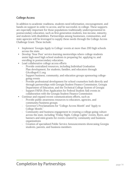#### College Access

In addition to academic readiness, students need information, encouragement, and hands-on support in order to access, and be successful, in college. These supports are especially important for those populations traditionally underrepresented in postsecondary education, such as first-generation students, low-income, minority, and students with disabilities. Partnerships among businesses, communities, and state agencies will be leveraged to supply these needs through the College Access Challenge Grant. These include:

- Implement 'Georgia Apply to College' events at more than 200 high schools across the state.
- Develop 'Near Peer' service-learning mentorships where college students assist high-need high school students in preparing for, applying to, and enrolling in postsecondary education.
- Lead collaborative college access efforts
	- Provide centralized resources, including Individual Graduation Plan development, for students, families, and educators through GAcollege411.org
	- Support business, community, and education groups sponsoring collegegoing events
	- Provide professional development for school counselors both directly and through partnerships with Georgia Student Finance Commission, Georgia Department of Education, and the Technical College System of Georgia
	- Support FAFSA (Free Application for Federal Student Aid) events in collaboration with the Georgia Student Finance Commission
- Continue and expand recent communications efforts, such as
	- Provide public awareness resources to educators, agencies, and community/business groups
	- Governor's Proclamations for "College Access Month" and "Apply to College Month."
	- Community and business engagement in creating a college-going culture across the state, including "Friday Night, College Lights" events, flyers, and banners and mini-grants for events created by community and business organizations
	- Creation of specialized Public Service Announcements showcasing Georgia students, parents, and business members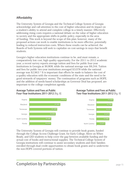#### Affordability

The University System of Georgia and the Technical College System of Georgia acknowledge and call attention to the cost of higher education and its impact on a student's ability to attend and complete college in a timely manner. Effectively addressing rising costs requires a national debate on the value of higher education to society and the appropriate shifts in public policy, especially in the area of funding. This work is beyond the scope of this plan; however, many of the proposed actions can work to enable institutions to be more effective, potentially leading to reduced instruction costs. Where these results can be achieved, the Boards of both Systems will seek to capitalize on cost-savings in ways that benefit students.

Georgia's higher education institutions continue to be, and must remain, a comparatively low cost, high quality opportunity. For the 2011 to 2012 academic year, a recent survey reports average tuition and fees for public four-year institutions in Georgia at \$6,808, while the national average was \$8,244. Tuition and fees for public two-year institutions averaged \$3,078 while the national average was \$2,963.14 It is important that efforts be made to balance the cost of a quality education with the economic conditions of the state and the need to be good stewards of taxpayers' money. The continuation of programs such as HOPE, and the addition of needs-based scholarships as Governor Deal has proposed, are important to the college completion agenda.

#### Average Tuition and Fees at Public Four-Year Institutions 2011-2012 [fig. 8]



#### Average Tuition and Fees at Public Two-Year Institutions 2011-2012 [fig. 9]



The University System of Georgia will continue to provide book grants, funded through the College Access Challenge Grant, for Early College, Move on When Ready, and GED students to help cover the gap between available funding and the actual cost of books and instructional supplies. The Technical College System of Georgia institutions will continue to assist secondary students and their families enrolled through dual credit opportunities to obtain book grants and to underwrite the non-HOPE covered portions of tuition.

## **Completion by Partnerships Example 20 April 20 April 20 April 20 April 20 April 20 April 20 April 20 April 20 April 20 April 20 April 20 April 20 April 20 April 20 April 20 April 20 April 20 April 20 April 20 April 20 A**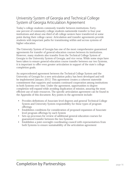## University System of Georgia and Technical College System of Georgia Articulation Agreement

Today's college students commonly transfer between institutions. Fortyone percent of community college students nationwide transfer to four-year institutions and about one-third of all college seniors have transferred at some point during their college career. Articulation and transfer agreements provide students with important paths for transitioning within and across systems of higher education.

The University System of Georgia has one of the most comprehensive guaranteed agreements for transfer of general education courses between its institutions. However, many students also transfer from the Technical College System of Georgia to the University System of Georgia, and vice versa. While some steps have been taken to ensure general education course transfer between our two Systems, it is important to offer even greater articulation in support of the state's college completion goals.

An unprecedented agreement between the Technical College System and the University of Georgia for a new articulation policy has been developed and will be implemented January 2012. This agreement creates a coherent statewide commitment that supports and sustains continued cooperation among institutions in both Systems over time. Under the agreement, opportunities to degree completion will expand while avoiding duplication of mission, assuring the most efficient use of state resources. The specific articulation agreement can be found in the Appendix of this document. Key points in the agreement include:

- Provides definitions of Associate level degrees and general Technical College System and University System responsibility for these types of program offerings
- Establishes conditions for consideration of proposed expansion of Associate level program offerings by each System
- Sets up processes for review of additional general education courses for guaranteed transfer between the two Systems
- Establishes a joint oversight coordinating council with representatives from both Systems to ensure sustainability of the articulation agreement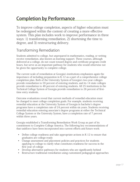# Completion by Performance

To improve college completion, aspects of higher education must be redesigned within the context of creating a more effective system. This plan includes work to improve performance in three ways: 1) transforming remediation, 2) shortening the time to degree, and 3) restructuring delivery.

## Transforming Remediation

Students admitted to college, but unprepared in mathematics, reading, or writing receive remediation, also known as learning support. These courses, although delivered at a college, do not count toward degree and certificate program credit hours, but serve as an important pathway for students who would otherwise not be given the opportunity to complete college.

The current scale of remediation at Georgia's institutions emphasizes again the importance of including preparation in K-12 as a part of a comprehensive college completion plan. Both of the University System of Georgia's two-year colleges provide remediation to 59 percent of entering students, and its 14 state colleges provide remediation to 48 percent of entering students. All 25 institutions in the Technical College System of Georgia provide remediation to 26 percent of firsttime entry students.

Outcome evaluations reveal that current methods of remedial education must be changed to meet college completion goals. For example, students receiving remedial education at the University System of Georgia in bachelor's degree programs have a completion rate of 24 percent within six years. Students receiving remedial education entering associate's degree programs at either the Technical College System or the University System, have a completion rate of 7 percent within three years.

Georgia established a Transforming Remediation Work Group as part of its commitment to Complete College America. The following key recommendations of that taskforce have been incorporated into current efforts and future work:

- Define college readiness and take appropriate actions in K-12 to ensure that graduates are college-ready
- Change assessment and placement policies and practices for students applying to college to clarify what constitutes readiness for success in the first year of college
- Develop alternative pathways for students who are significantly behind
- Restructure traditional remediation using customized pedagogical approaches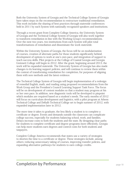Both the University System of Georgia and the Technical College System of Georgia have taken steps on the recommendation to restructure traditional remediation. This work includes the sharing of best practices through statewide conferences held in 2011 by each System with nationally recognized speakers and institutions.

Through a recent grant from Complete College America, the University System of Georgia and the Technical College System of Georgia will also work together to transform remediation in line with the Working Group's recommendations. Over the next two years, two institutions from each System will pilot total transformations of remediation and disseminate the work statewide.

Within the University System of Georgia, the focus will be on modularization of courses, creation of alternate paths for those students significantly behind, development of options to work at one's own pace, and integration of support to teach success skills. Pilot projects at the College of Coastal Georgia and Georgia Gwinnett College will begin in 2012. After the grant, beginning around 2013, the work will be expanded statewide. The University System of Georgia has also made changes to its learning support policies, and will continue to review them within the context of transforming remediation for completion, for purposes of aligning them with new methods and the latest evidence.

The Technical College System of Georgia will begin implementation of a redesign of remedial English, math, and reading using proposed recommendations from the Work Group and the President's Council Learning Support Task Force. The focus will be on development of content modules so that a student may progress at his or her own pace. In addition, new diagnostic tools will be developed to pinpoint which modules are required based on a student's needs. The early months of 2012 will focus on curriculum development and logistics, with a pilot program at Athens Technical College and DeKalb Technical College set to begin summer of 2012, with expanded implementation later in 2012.

The more time it takes to graduate, the less likely a student is to complete a certificate or degree. Events and demands outside the classroom can complicate college success, especially for students balancing school, work, and families. Delays increase costs to both the students and the state. By designing clear paths for students to complete certificate and degree programs more efficiently, Georgia can help more students earn degrees and control costs for both students and taxpayers.

Complete College America recommends that states use a variety of strategies to shorten the time to a certificate or degree. These strategies include, among others: reducing unnecessary taking of courses, improving transfer policies, and expanding alternative pathways for students to earn college credits.

## **Completion by Performance Example 20 and Service 20 and Service 20 and Service 20 and Page 18**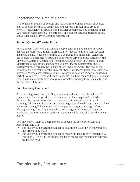## Shortening the Time to Degree

 The University System of Georgia and the Technical College System of Georgia plan to shorten the time to certificates and degrees through three areas of work: 1) expansion of articulation and transfer agreements (see appendix under "Articulation Agreement"), 2) construction of a student-centered transfer portal, and 3) expansion of Prior Learning Assessment.

#### Student-Centered Transfer Portal

Having robust transfer and articulation agreements in place is important, but delivering accurate and timely information to students to inform their decisionmaking and ensure the shortest time to a degree is also important. GATRACS, the Georgia Transfer and Articulation Cooperative Services group consists of the University System of Georgia, the Technical College System of Georgia, Georgia Department of Education, and Georgia Student Finance Commission, and is currently funded through the College Access Challenge Grant. The goal of the collaborative is to make transfer easier for Georgia students, potentially leading to increased college completion rates. GATRACS will release a web portal, housed as part of GACollege411, that will enable students to submit their college courses and grades and immediately have access to information showing to which institutions their credits will transfer.

#### Prior Learning Assessment

Prior Learning Assessment, or PLA, provides a pathway to enable millions of students who have stopped short of a degree, but have acquired knowledge through other means, the chance to complete their education. In terms of spending, 65 percent of postsecondary learning takes place through the workplace and other training.15 Postsecondary learning is also acquired through informal lifelong learning. Awarding credit where knowledge already exists creates an attractive option for potential students, especially adults, and shortens the time to degree.

The University System of Georgia seeks to expand the use of Prior Learning Assessment and will:

- Increase by 50 percent the number of institutions with PLA-friendly policies and practices by 2013
- Increase by 20 percent the number of credits students receive through PLA, including CLEP, AP, IB, portfolios, challenge exams, and military and business credentials by 2013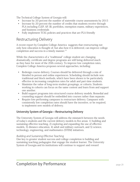The Technical College System of Georgia will:

- Increase by 20 percent the number of statewide course assessments by 2015
- Increase by 20 percent the number of credits that students receive through PLA including CLEP, AP, IB, portfolios, exemption exams, military experiences, and business credentials
- Fully implement TCSG policies and practices that are PLA friendly

## Restructuring Delivery

A recent report by Complete College America suggests that restructuring not only how education is thought of, but also how it is delivered, can improve college completion and success in a timely manner.<sup>16</sup>

While the characteristics of a "traditional" college student are changing dramatically, certificate and degree programs are still being delivered much as they have for most of the 20th century. To improve low completion rates, Complete College America proposes several approaches, including:

- Redesign course delivery. Courses should be delivered through a mix of blended in-person and online experiences. Scheduling should include nontraditional and block methods, which have been shown to be particularly effective in increasing completion rates for adult and part-time students.
- Maximize the value of long-term student groupings, or cohorts. Students working in cohorts can focus on the same content and learn from and support one another.
- Build support programs into structured course delivery models. Remedial and counseling support should be embedded into courses rather than separate.
- Require low-performing campuses to restructure delivery. Campuses with consistently low completion rates should have the incentive, or be required, to implement new models of delivery.

#### University System of Georgia—Restructuring Delivery

The University System of Georgia will address the mismatch between the needs of today's students and the current delivery models in five areas: 1) building and sustaining effective teaching, 2) exploring and expanding the use of effective models, 3) distance education, 4) adult and military outreach, and 5) science, technology, engineering, and mathematics (STEM) initiatives.

#### Building and Sustaining Effective Teaching

One key to greater student success and college completion is building and sustaining teaching pedagogies that engage the student learner. The University System of Georgia and its institutions will continue to support and reward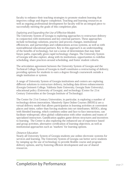faculty to enhance their teaching strategies to promote student learning that improves college and degree completion. Teaching and learning resources as well as ongoing professional development for faculty will be an integral piece to successfully meeting the goals of this completion plan.

#### Exploring and Expanding the Use of Effective Models

The University System of Georgia is exploring approaches to restructure delivery in conjunction with institutions and key external partners. These approaches include technology solutions, practice and process changes, institutional efficiencies, and partnerships and collaborations across systems, as well as with nontraditional educational partners. Key in this approach is an understanding of the benefits of technology, but not a sense of determinism that may limit future paths, especially given rapid technology changes. The University System of Georgia will also explore, along with its institutions, opportunities to redefine scheduling, share practices around scheduling, and foster student cohorts.

The articulation agreement between the University System of Georgia and the Technical College System of Georgia in itself constitutes a restructuring of delivery, providing options for students to earn a degree through coursework outside a single institution or system.

A range of University System of Georgia institutions and centers are exploring different solutions to restructure delivery, including data driven enhancements (Georgia Gwinnett College, Valdosta State University, Georgia State University), educational policy (University of Georgia), and technology (Center for 21st Century Universities at the Georgia Institute of Technology).

The Center for 21st Century Universities, in particular, is exploring a number of technology-driven innovations. Massively Open Online Courses (MOOCs) are a virtual delivery model that allows participation in learning activities at convenient places and times, rather than forcing students into set timeframes. MOOCs, along with blended learning, which combines online and face-to-face interactions, can facilitate widespread, often global collaboration with other students and teams of specialized instructors. Gamification applies game-driven structures and incentives to learning. The Center is also exploring the enhanced use of experience based and group activities, alternative certification of learning objectives, as well as institutional approaches such as "markets" for learning options.

#### Distance Education

Nearly all University System of Georgia students use online electronic systems for services and learning. The University System of Georgia can better serve students by ramping up the use of technology to provide flexible course and program delivery options, and by fostering efficient development and use of shared resources.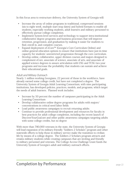In this focus area to restructure delivery, the University System of Georgia will:

- Increase the array of online programs in traditional, compressed sessions (six to eight week, multiple start-stop dates) and hybrid formats to enable all students, especially working students, adult learners and military personnel to effectively pursue college completion.
- Implement System-level services and technology to support intra-institutional collaborative degree programs and business processes that will improve retention, progression, and graduation by making it easier for students to find, enroll in, and complete courses.
- Expand deployment of eCore™ (Georgia's Core Curriculum Online) and online general education options to ensure that institutions have just-in-time capacity for students' unrestricted progression through the core curriculum.
- Develop online, collaborative, upper division courses and majors designed to complement eCore, associate of science, associate of arts, and associate of applied science degrees to assure articulation with USG and TCSG two-year programs and increase the probability that students can sustain and achieve their educational goals.

#### Adult and Military Outreach

Nearly 1 million working Georgians, 22 percent of those in the workforce, have already earned some college credit, but have not completed a degree. The University System of Georgia Adult Learning Consortium, with nine participating institutions, has developed policies, practices, models, and programs, which target the needs of adult learners. Planned work includes:

- Increase by 50 percent the number of campuses participating in the Adult Learning Consortium
- Develop collaborative online degree programs for adults with majors/ concentrations in critical need labor fields
- Lead public awareness campaigns to recruit returning adults
- Continue to provide professional development and resources for faculty in best practices for adult college completion, including the recent launch of DiscoverYourGoal.net and other public awareness campaigns targeting adults with some college credits, but no degree

With more than 780,000 veterans in the state, the University System of Georgia will lead expansion of its military-friendly "Soldiers 2 Scholars" program and other statewide efforts to help those in military service make the transition to civilian life by means of a college degree. The Soldiers 2 Scholars program attracts and retains military students while creating campuses that are inviting and friendly to military personnel and veterans. The College Access Challenge Grant funds the University System of Georgia's adult and military outreach efforts.

## Completion by Performance **Example 22** page 22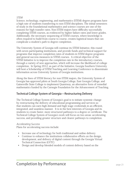#### STEM

Science, technology, engineering, and mathematics (STEM) degree programs have a high rate of students transferring to non-STEM disciplines. The initial semesters of study in the foundational mathematics and science courses are one of the reasons for high transfer rates. Non-STEM majors have difficulty successfully completing STEM courses, as evidenced by higher failure rates and lower grades. Additionally, the necessary sequencing of STEM courses, where knowledge is often required to build from course to course, creates logistical issues that can complicate a student's path to degree completion.

The University System of Georgia will continue its STEM Initiative, this round with seven participating institutions, and provide funds and technical support for programs that improve completion rates of students in STEM degree programs and general success measures in STEM courses. A critical objective of the STEM Initiative is to improve the completion rate in the introductory courses, through a variety of new approaches, which will increase the likelihood of college completion. In Spring 2012, as part of the Initiative, Georgia Southern University will host a Scholarship of STEM Teaching and Learning Conference to disseminate information across University System of Georgia institutions.

Along the lines of STEM literacy for non-STEM majors, the University System of Georgia has approved pilots at South Georgia College, East Georgia College, and Gainesville State College to implement Quantway, an alternative form of remedial mathematics funded by the Carnegie Foundation for the Advancement of Teaching.

#### Technical College System of Georgia—Restructuring Delivery

The Technical College System of Georgia's goal is to initiate systemic change by restructuring the delivery of educational programming and services so that students can earn high demand and high wage credentials in an efficient, integrated, and seamless manner. It is in the best interests of Georgia and its students to create faster, more structured pathways to a degree or certificate. The Technical College System of Georgia's work will focus on two areas: accelerating success, and providing greater structure and clearer pathways to completion.

#### Accelerating Success

Plans for accelerating success include:

- Increase use of technology for both traditional and online delivery
- Continue to enhance the institutions collaborative efforts on the design, development, and delivery of digital content through the Georgia Virtual Technical Connection (GVTC)
- Design and develop blended models of content delivery based on the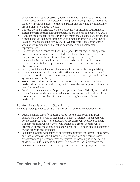concept of the flipped classroom, (lecture and teaching viewed at home and performance and work completed on- campus) affording students more time on task while having access to their instructor and providing them flexibility around their off-campus schedule

- Increase by 15 percent usage and enhancement of distance education and blended/hybrid courses allowing students more choices and access by 2015
- Redesign basic models of delivery in both traditional, distance education, and blended courses to a more streamlined and modular approach, ensuring full usage of available technology by 2014 (Synchronous video conferencing, webinar environments, virtual office hours, learning object/content repository, etc.)
- Re-establish and enhance the Learning Support Portal page, allowing open access to prospective and current students offering them access to resources for preparation, study, and tutorial based designed content by 2013
- Enhance the System Level Distance Education Student Portal to increase awareness of a student's opportunity to enroll as a transient student with sister institutions
- Develop individual education plans for each student, with strong advising
- Expand seamless education and articulation agreements with the University System of Georgia to reduce unnecessary taking of courses. (See articulation agreement, and GATRACS)
- Work toward a direct transition for students from completion of a GED credential into a technical diploma, certificate or degree program, without the need for remediation
- Developing an Accelerating Opportunity program that will dually enroll adult basic education students in adult education courses and technical certificate programs to assist students in gaining a meaningful career pathway credential

#### Providing Greater Structure and Clearer Pathways

Plans to provide greater structure and clearer pathways to completion include:

- Develop cohort-based (long-term groups), accelerated programs. Peer cohorts have been noted to significantly improve retention in colleges with accelerated programs. These accelerated programs will be delivered using a cohort model in which learners will attend as a group. Courses will be scheduled during times based on cohort needs for 4-8 hour blocks, depending on the program requirements.
- Facilitate a system-wide effort to implement a uniform assessment, placement, and intake process that will provide consistent college and career ready assessment and placement across the system for incoming adult education students. A uniform intake and advising process will be implemented that ensures students understand their options, and enroll in appropriate career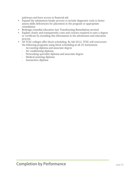pathways and have access to financial aid.

- Expand the admissions/intake process to include diagnostic tools to better assess skills deficiencies for placement in the program or appropriate remediation
- Redesign remedial education (see Transforming Remediation section)
- Explain clearly and transparently costs and courses required to earn a degree or certificate by including this information in the advisement and education process
- All TCSG colleges offer block scheduling. By fall 2012, TCSG will restructure the following programs using block scheduling at all 25 institutions:
	- Accounting diploma and associate degree
	- Air conditioning diploma
	- Networking specialist diploma and associate degree
	- Medical assisting diploma
	- Automotive diploma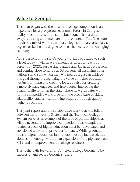# Value to Georgia

This plan began with the idea that college completion is an imperative for a prosperous economic future in Georgia. In reality, this future is not distant, but sooner than a decade away, requiring an immediate unprecedented effort. The state requires a mix of workers with a college certificate, associate's degree, or bachelor's degree to meet the needs of the changing economy.

At 42 percent of the state's young workers educated to such a level today, it will take a tremendous effort to reach 60 percent by 2020, surpassing Canada and Japan at 56 percent, and coming close to Korea at 63 percent, all assuming other nations stand still, which they will not. Georgia can achieve this goal through recognizing the value of higher education, not just for filling and creating jobs, but also for creating a more civically engaged and free people, improving the quality of life for all in the state. These new graduates will form a competitive workforce with the broad base of skills, adaptability, and critical-thinking acquired through quality higher education.

This joint report and the collaborative work that will follow between the University System and the Technical College System serve as an example of the type of partnerships that will be necessary to improve completion rates. Completionrelated aspects of higher education must be reevaluated and envisioned anew to improve performance. While graduation rates at higher education institutions must be increased, this alone is not enough without an expansion of the pipeline from K-12 and an improvement in college readiness.

This is the path forward for Complete College Georgia to be successful and secure Georgia's future.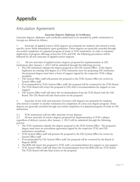# Appendix

## Articulation Agreement

#### **Associate Degrees, Diplomas, & Certificates**

Associate degrees, diplomas, and certificates authorized to be awarded by public institutions in Georgia are defined as follows:

1. Associate of applied science (AAS) degrees are primarily for students who intend to enter specific career fields immediately upon graduation. These degrees are generally awarded through successful completion of a planned program of study at TCSG institutions. In order to minimize duplication of program offerings across the TCSG and USG, the following procedures will be followed for all new associate of applied science degrees.

1.1. All new associate of applied science degrees proposed for implementation at USG institutions after January 1, 2012 will be submitted through the following process:

- The USG institution submits the degree proposal to the USG System Office. If the degree duplicates an existing AAS degree at a TCSG institution near the proposing USG institution, the proposed degree must have a letter of support signed by the respective TCSG college president.
- USG System Office staff will present the proposal to the TCSG System Office for review by System Office staff.
- If recommended by TCSG System Office staff, the proposal will be reviewed by the TCSG Board.
- The TCSG Board will return the proposal to USG with a recommendation for support or nonsupport.
- USG System Office staff will share the recommendation from the TCSG Board with the USG Board. The USG Board will take final action on the proposal.

2. Associate of arts (AA) and associate of science (AS) degrees are primarily for students who intend to transfer to another institution for completion of a four-year degree program. These degrees are generally awarded through successful completion of a planned program of study at USG institutions.

2.1. TCSG institutions will not offer associate of arts degrees.<br>2.2. All new associate of science degrees proposed for implen All new associate of science degrees proposed for implementation at TCSG colleges, regardless of delivery system, after January 1, 2012 will be submitted through the following process:

- The TCSG institution submits the degree proposal to the TCSG System Office. The proposed degree must have an articulation agreement signed by the respective TCSG and USG institutions' presidents.
- TCSG System Office staff will present the proposal to the USG System Office for review by System Office staff.
- If recommended by USG System Office staff, the proposal will be reviewed by the Board of Regents (BOR).
- The BOR will return the proposal to TCSG with a recommendation for support or non-support.
- TCSG System Office staff will share the recommendation from the BOR with the TCSG Board. The TCSG Board will take final action on the proposal.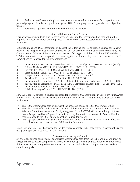3. Technical certificates and diplomas are generally awarded for the successful completion of a planned program of study through the colleges of TCSG. These programs are typically not designed for transfer.

4. Bachelor's degrees are offered only through USG institutions.

#### **General Education Course Transfer**

This policy assures students who transfer between TCSG and USG institutions that they will not be required to repeat the course work approved for transfer that was successfully completed at another institution.

USG institutions and TCSG institutions will accept the following general education courses for transfer between their respective institutions. Courses will only be accepted from institutions accredited by the Commission on Colleges of the Southern Association of Colleges and Schools. Both the USG and the TCSG are committed to and responsible for assuring that faculty teaching these courses meet the SACS comprehensive standard for faculty qualifications.

- 1. Introduction to Mathematical Modeling MATH 1101 (USG)/MAT 190 or MATH 1101(TCSG)
- 2. College Algebra MATH 1111 (USG)/MAT 191 or MATH 1111 (TCSG)
- 3. Pre-calculus MATH 1113 (USG)/MAT 194 or MATH 1113 (TCSG)
- 4. Composition I ENGL 1101 (USG)/ENG 191 or ENGL 1101 (TCSG)
- 5. Composition II ENGL 1102 (USG)/ENG 193 or ENGL 1102 (TCSG)
- 6. American Literature ENGL 2130 (USG)/ENGL 2130 (TCSG)
- 7. Introduction to Psychology PSYC 1101 (USG) / Introductory Psychology PSYC 1101 (TCSG)
- 8. Introduction to Economics ECON 1101 (USG) / Principles of Economics ECON 1101 (TCSG)
- 9. Introduction to Sociology SOCI 1101 (USG)/SOCI 1101 (TCSG)
- 10. Public Speaking COMM 1201 (USG)/SPCH 1101 (TCSG)

New TCSG general education courses proposed for transfer to USG institutions in Core Curriculum Areas A-E will follow the same review procedure required for new Core Curriculum courses proposed by USG institutions:

- The TCSG System Office staff will present the proposed course(s) to the USG System Office.
- The USG System Office will convene a meeting of the appropriate disciplinary Regents Academic Advisory Committee. Non-voting faculty designated from the TCSG will be invited to participate.
- Course(s) approved by a Regents Academic Advisory Committee for transfer in Areas A-E will be recommended to the USG General Education Council for review.
- Course(s) approved by the USG General Education Council will be reviewed by System Office staff who will submit the courses to the USG Board for final action.

Upon receipt of USG Board approval for the designated course(s), TCSG colleges will clearly publicize the designated approval categories to TCSG students.

#### **Postsecondary Oversight Council**

An oversight council comprised of appropriate System Office staff from the TCSG and USG will meet on a regular basis to assure compliance with this articulation agreement, address other articulation issues if they arise, and encourage the development of programs and policies to support Georgia's college completion goals.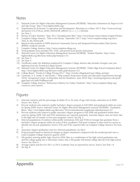### **Notes**

- 1) National Center for Higher Education Management Systems (NCHEMS). "Education Attainment by Degree-Level and Age-Group:" http://www.higheredinfo.org/.
- 2) Organization for Economic Co-operation and Development. Education at a Glance 2011: http://www.oecd.org/ document/2/0,3746,en\_2649\_39263238\_48634114\_1\_1\_1\_1,00.html.
- 3) See Note 1.
- 4) Bureau of Labor Statistics. "Sept. 2011 Unemployment Rate:" http://www.bls.gov/news.release/empsit.t04.htm.
- 5) Complete College America. "Time is the Enemy." September 2011: http://www.completecollege.org/docs/ Time\_Is\_the\_Enemy.pdf.
- 6) Based on data analysis of 2009 American Community Survey and Integrated Postsecondary Data System (IPEDS) certificate awards.
- 7) Complete College America. http://www.completecollege.org
- 8) Total graduates here includes USG, TCSG, and growth from private institutions.
- 9) National Center for Higher Education Management Systems (NCHEMS). "Student Pipeline": http://www. higheredinfo.org/dbrowser/index.php?measure=72.
- 10) See Note 5.
- 11) See Note 5.
- 12) Certificates under the definition employed by Complete College America also includes Georgia's one-year diplomas from the Technical College System.
- 13) National Center for Higher Education Management Systems (NCHEMS). "Public High School Graduation Rates": http://www.higheredinfo.org/dbrowser/index.php?measure=23.
- 14) College Board. "Trends in College Pricing 2011": http://trends.collegeboard.org/college\_pricing/.
- 15) Carnevale, A. P., Smith, N. and Strohl, J. "Help wanted: Projections of jobs and education requirements through 2018." Georgetown Center on Education and the Workforce. June 2010: http://www9.georgetown.edu/grad/ gppi/hpi/cew/pdfs/FullReport.pdf
- 16) Complete College America, "Restructure Delivery for Today's Students:" http://www.completecollege.org/ resources\_and\_reports/.

## Figures

- 1) Selected countries and the percentage of adults 25 to 34 years of age with tertiary education as of 2009. Source: See. Note 2.
- 2) Percent students who entered a public bachelor's degree program in Fall 2003 and graduated within six years by Spring 2009. Source: National Center for Higher Education Management Systems (NCHEMS). "Graduation Rates." http://www.higheredinfo.org/dbrowser/?level=nation&mode=map&state=0&submeasure=27.
- 3) Percent students who entered a public associate's degree program in Fall 2006 and graduated within three years by Spring 2009. USG and TCSG institutions are reported separately. Associate degree rates are lower due to the high rate of transfer to four-year programs. Source: See Fig. 2.
- 4) Selected populations of students within public institutions (USG and TCSG) in Georgia that graduate from a bachelor's degree program within six years of first enrollment. Pell grant recipient is often used as a proxy to identify low-income populations. Source: USG and TCSG reported data via Complete College America. See Note 5.
- 5) Associate's degree graduation rates for selected populations, see Fig 4.
- 6) Projected path based on historical changes in degree attainment compared with the needed growth rate to reach Complete College America's goal by 2020.
- 7) 9th graders entering public high school in 2004. Rate is a combination of the high school graduation rate and the college-going rate to determine chance that a 9th grader will attend college directly from high school. Source: See Note 9.
- 8) Average tuition and fees for 2011 to 2012 Academic Year as reported by survey. Source: See Note 14.
- 9) See Fig. 8.